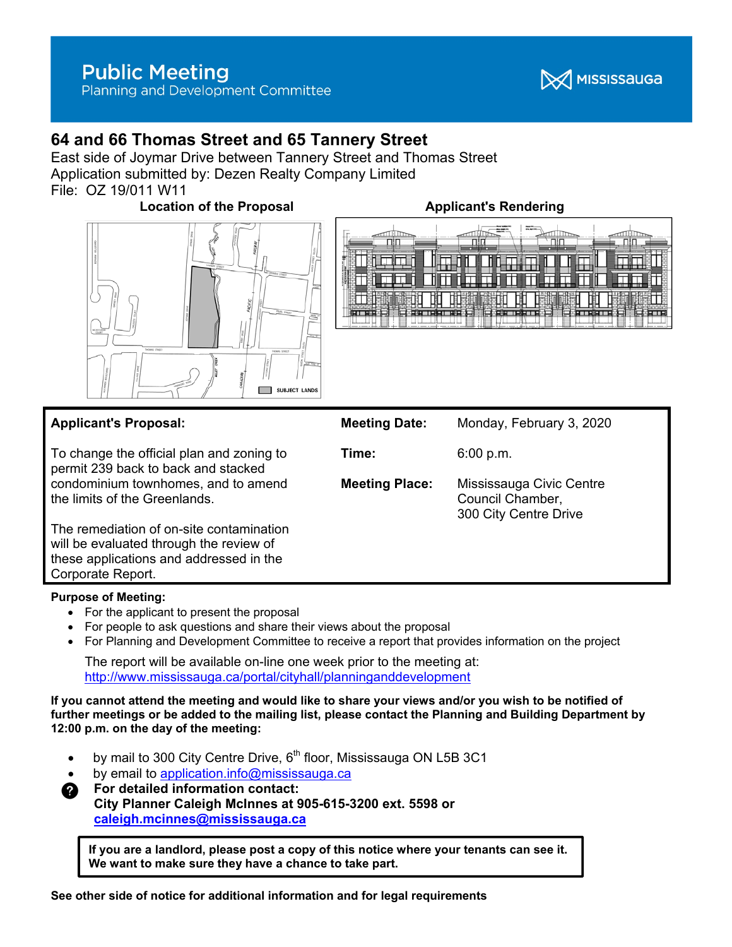

# **64 and 66 Thomas Street and 65 Tannery Street**

East side of Joymar Drive between Tannery Street and Thomas Street Application submitted by: Dezen Realty Company Limited File: OZ 19/011 W11

**Location of the Proposal Constraining Applicant's Rendering** 







| <b>Applicant's Proposal:</b>                                                        | <b>Meeting Date:</b>  | Monday, February 3, 2020                                              |
|-------------------------------------------------------------------------------------|-----------------------|-----------------------------------------------------------------------|
| To change the official plan and zoning to<br>permit 239 back to back and stacked    | Time:                 | 6:00 p.m.                                                             |
| condominium townhomes, and to amend<br>the limits of the Greenlands.                | <b>Meeting Place:</b> | Mississauga Civic Centre<br>Council Chamber,<br>300 City Centre Drive |
| The remediation of on-site contamination<br>will be evaluated through the review of |                       |                                                                       |
| these applications and addressed in the<br>Corporate Report.                        |                       |                                                                       |

#### **Purpose of Meeting:**

- For the applicant to present the proposal
- For people to ask questions and share their views about the proposal
- For Planning and Development Committee to receive a report that provides information on the project

The report will be available on-line one week prior to the meeting at: http://www.mississauga.ca/portal/cityhall/planninganddevelopment

**If you cannot attend the meeting and would like to share your views and/or you wish to be notified of further meetings or be added to the mailing list, please contact the Planning and Building Department by 12:00 p.m. on the day of the meeting:** 

- by mail to 300 City Centre Drive,  $6<sup>th</sup>$  floor, Mississauga ON L5B 3C1
- by email to application.info@mississauga.ca
- **<sup>2</sup>** For detailed information contact:

 **City Planner Caleigh McInnes at 905-615-3200 ext. 5598 or caleigh.mcinnes@mississauga.ca** 

**If you are a landlord, please post a copy of this notice where your tenants can see it. We want to make sure they have a chance to take part.**